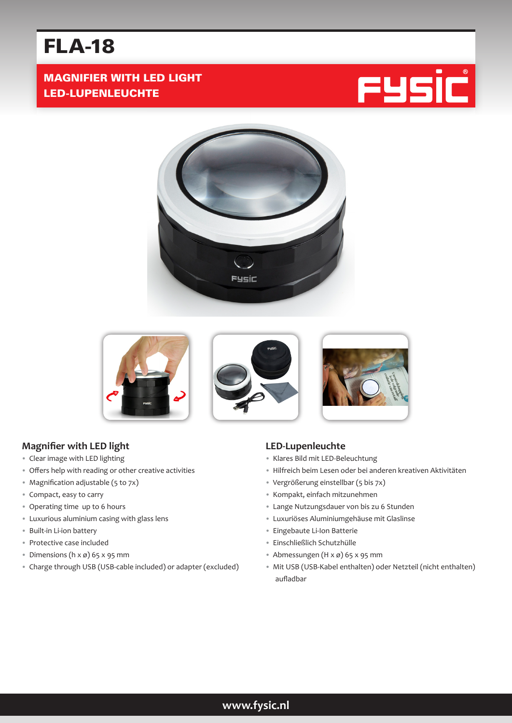# FLA-18

## MAGNIFIER WITH LED LIGHT LED-LUPENLEUCHTE







## **Magnifier with LED light**

- Clear image with LED lighting
- Offers help with reading or other creative activities
- Magnification adjustable (5 to 7x)
- Compact, easy to carry
- Operating time up to 6 hours
- Luxurious aluminium casing with glass lens
- Built-in Li-ion battery
- Protective case included
- Dimensions  $(h \times \emptyset)$  65  $\times$  95 mm
- Charge through USB (USB-cable included) or adapter (excluded)

#### **LED-Lupenleuchte**

- Klares Bild mit LED-Beleuchtung
- Hilfreich beim Lesen oder bei anderen kreativen Aktivitäten
- Vergrößerung einstellbar (5 bis 7x)
- Kompakt, einfach mitzunehmen
- Lange Nutzungsdauer von bis zu 6 Stunden
- Luxuriöses Aluminiumgehäuse mit Glaslinse
- Eingebaute Li-Ion Batterie
- Einschließlich Schutzhülle
- Abmessungen  $(H \times \emptyset)$  65 x 95 mm
- Mit USB (USB-Kabel enthalten) oder Netzteil (nicht enthalten) aufladbar

## **www.fysic.nl**